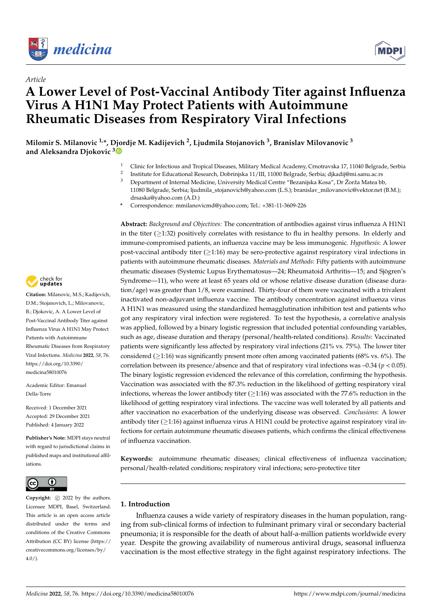



# *Article* **A Lower Level of Post-Vaccinal Antibody Titer against Influenza Virus A H1N1 May Protect Patients with Autoimmune Rheumatic Diseases from Respiratory Viral Infections**

**Milomir S. Milanovic 1,\*, Djordje M. Kadijevich <sup>2</sup> , Ljudmila Stojanovich <sup>3</sup> , Branislav Milovanovic <sup>3</sup> and Aleksandra Djokovic [3](https://orcid.org/0000-0002-6094-7306)**

- <sup>1</sup> Clinic for Infectious and Tropical Diseases, Military Medical Academy, Crnotravska 17, 11040 Belgrade, Serbia
- $\overline{2}$ Institute for Educational Research, Dobrinjska 11/III, 11000 Belgrade, Serbia; djkadij@mi.sanu.ac.rs
- <sup>3</sup> Department of Internal Medicine, University Medical Centre "Bezanijska Kosa", Dr Žorža Matea bb, 11080 Belgrade, Serbia; ljudmila\_stojanovich@yahoo.com (L.S.); branislav\_milovanovic@vektor.net (B.M.); drsaska@yahoo.com (A.D.)
- **\*** Correspondence: mmilanovicmd@yahoo.com; Tel.: +381-11-3609-226

**Abstract:** *Background and Objectives:* The concentration of antibodies against virus influenza A H1N1 in the titer (≥1:32) positively correlates with resistance to flu in healthy persons. In elderly and immune-compromised patients, an influenza vaccine may be less immunogenic. *Hypothesis*: A lower post-vaccinal antibody titer (≥1:16) may be sero-protective against respiratory viral infections in patients with autoimmune rheumatic diseases. *Materials and Methods*: Fifty patients with autoimmune rheumatic diseases (Systemic Lupus Erythematosus—24; Rheumatoid Arthritis—15; and Sjögren's Syndrome—11), who were at least 65 years old or whose relative disease duration (disease duration/age) was greater than 1/8, were examined. Thirty-four of them were vaccinated with a trivalent inactivated non-adjuvant influenza vaccine. The antibody concentration against influenza virus A H1N1 was measured using the standardized hemagglutination inhibition test and patients who got any respiratory viral infection were registered. To test the hypothesis, a correlative analysis was applied, followed by a binary logistic regression that included potential confounding variables, such as age, disease duration and therapy (personal/health-related conditions). *Results*: Vaccinated patients were significantly less affected by respiratory viral infections (21% vs. 75%). The lower titer considered ( $\geq$ 1:16) was significantly present more often among vaccinated patients (68% vs. 6%). The correlation between its presence/absence and that of respiratory viral infections was  $-0.34$  ( $p < 0.05$ ). The binary logistic regression evidenced the relevance of this correlation, confirming the hypothesis. Vaccination was associated with the 87.3% reduction in the likelihood of getting respiratory viral infections, whereas the lower antibody titer  $(>1:16)$  was associated with the 77.6% reduction in the likelihood of getting respiratory viral infections. The vaccine was well tolerated by all patients and after vaccination no exacerbation of the underlying disease was observed. *Conclusions*: A lower antibody titer (≥1:16) against influenza virus A H1N1 could be protective against respiratory viral infections for certain autoimmune rheumatic diseases patients, which confirms the clinical effectiveness of influenza vaccination.

**Keywords:** autoimmune rheumatic diseases; clinical effectiveness of influenza vaccination; personal/health-related conditions; respiratory viral infections; sero-protective titer

## **1. Introduction**

Influenza causes a wide variety of respiratory diseases in the human population, ranging from sub-clinical forms of infection to fulminant primary viral or secondary bacterial pneumonia; it is responsible for the death of about half-a-million patients worldwide every year. Despite the growing availability of numerous antiviral drugs, seasonal influenza vaccination is the most effective strategy in the fight against respiratory infections. The



**Citation:** Milanovic, M.S.; Kadijevich, D.M.; Stojanovich, L.; Milovanovic, B.; Djokovic, A. A Lower Level of Post-Vaccinal Antibody Titer against Influenza Virus A H1N1 May Protect Patients with Autoimmune Rheumatic Diseases from Respiratory Viral Infections. *Medicina* **2022**, *58*, 76. [https://doi.org/10.3390/](https://doi.org/10.3390/medicina58010076) [medicina58010076](https://doi.org/10.3390/medicina58010076) **Example 12.1 In the Control of the CONDUCT SCALE (SCALE SCALE SCALE SCALE SCALE SCALE SCALE SCALE SCALE SCALE SCALE SCALE SCALE AND THE SCALE SCALE SCALE SCALE SCALE SCALE SCALE SCALE SCALE SCALE SCALE SCALE SCALE SCALE S** 

Academic Editor: Emanuel Della-Torre

Received: 1 December 2021 Accepted: 29 December 2021 Published: 4 January 2022

**Publisher's Note:** MDPI stays neutral with regard to jurisdictional claims in published maps and institutional affiliations.



**Copyright:**  $\odot$  2022 by the authors Licensee MDPI, Basel, Switzerland. This article is an open access article distributed under the terms and conditions of the Creative Commons Attribution (CC BY) license [\(https://](https://creativecommons.org/licenses/by/4.0/) [creativecommons.org/licenses/by/](https://creativecommons.org/licenses/by/4.0/)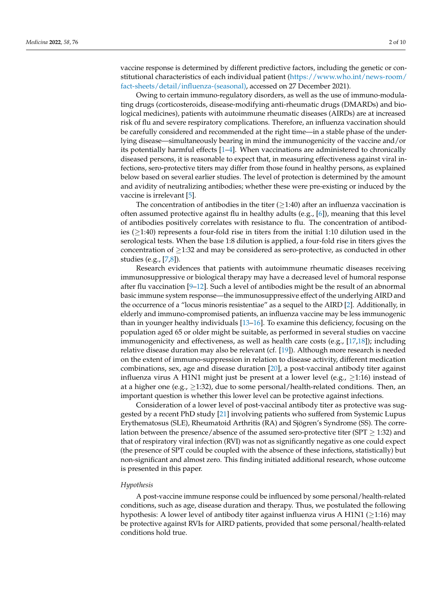vaccine response is determined by different predictive factors, including the genetic or constitutional characteristics of each individual patient [\(https://www.who.int/news-room/](https://www.who.int/news-room/fact-sheets/detail/influenza-(seasonal)) [fact-sheets/detail/influenza-\(seasonal\),](https://www.who.int/news-room/fact-sheets/detail/influenza-(seasonal)) accessed on 27 December 2021).

Owing to certain immuno-regulatory disorders, as well as the use of immuno-modulating drugs (corticosteroids, disease-modifying anti-rheumatic drugs (DMARDs) and biological medicines), patients with autoimmune rheumatic diseases (AIRDs) are at increased risk of flu and severe respiratory complications. Therefore, an influenza vaccination should be carefully considered and recommended at the right time—in a stable phase of the underlying disease—simultaneously bearing in mind the immunogenicity of the vaccine and/or its potentially harmful effects [\[1](#page-7-0)[–4\]](#page-7-1). When vaccinations are administered to chronically diseased persons, it is reasonable to expect that, in measuring effectiveness against viral infections, sero-protective titers may differ from those found in healthy persons, as explained below based on several earlier studies. The level of protection is determined by the amount and avidity of neutralizing antibodies; whether these were pre-existing or induced by the vaccine is irrelevant [\[5\]](#page-7-2).

The concentration of antibodies in the titer  $(≥1:40)$  after an influenza vaccination is often assumed protective against flu in healthy adults (e.g., [\[6\]](#page-7-3)), meaning that this level of antibodies positively correlates with resistance to flu. The concentration of antibodies ( $\geq$ 1:40) represents a four-fold rise in titers from the initial 1:10 dilution used in the serological tests. When the base 1:8 dilution is applied, a four-fold rise in titers gives the concentration of  $\geq$ 1:32 and may be considered as sero-protective, as conducted in other studies (e.g., [\[7,](#page-7-4)[8\]](#page-7-5)).

Research evidences that patients with autoimmune rheumatic diseases receiving immunosuppressive or biological therapy may have a decreased level of humoral response after flu vaccination  $[9-12]$  $[9-12]$ . Such a level of antibodies might be the result of an abnormal basic immune system response—the immunosuppressive effect of the underlying AIRD and the occurrence of a "locus minoris resistentiae" as a sequel to the AIRD [\[2\]](#page-7-7). Additionally, in elderly and immuno-compromised patients, an influenza vaccine may be less immunogenic than in younger healthy individuals [\[13](#page-8-1)[–16\]](#page-8-2). To examine this deficiency, focusing on the population aged 65 or older might be suitable, as performed in several studies on vaccine immunogenicity and effectiveness, as well as health care costs (e.g., [\[17](#page-8-3)[,18\]](#page-8-4)); including relative disease duration may also be relevant (cf. [\[19\]](#page-8-5)). Although more research is needed on the extent of immuno-suppression in relation to disease activity, different medication combinations, sex, age and disease duration [\[20\]](#page-8-6), a post-vaccinal antibody titer against influenza virus A H1N1 might just be present at a lower level (e.g.,  $\geq$ 1:16) instead of at a higher one (e.g.,  $\geq$ 1:32), due to some personal/health-related conditions. Then, an important question is whether this lower level can be protective against infections.

Consideration of a lower level of post-vaccinal antibody titer as protective was suggested by a recent PhD study [\[21\]](#page-8-7) involving patients who suffered from Systemic Lupus Erythematosus (SLE), Rheumatoid Arthritis (RA) and Sjögren's Syndrome (SS). The correlation between the presence/absence of the assumed sero-protective titer (SPT  $\geq$  1:32) and that of respiratory viral infection (RVI) was not as significantly negative as one could expect (the presence of SPT could be coupled with the absence of these infections, statistically) but non-significant and almost zero. This finding initiated additional research, whose outcome is presented in this paper.

#### *Hypothesis*

A post-vaccine immune response could be influenced by some personal/health-related conditions, such as age, disease duration and therapy. Thus, we postulated the following hypothesis: A lower level of antibody titer against influenza virus A H1N1 ( $\geq$ 1:16) may be protective against RVIs for AIRD patients, provided that some personal/health-related conditions hold true.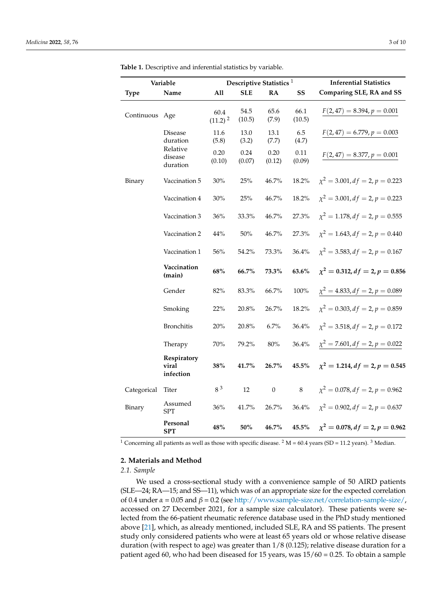| Variable       |                                   | Descriptive Statistics <sup>1</sup> |                |                  |                | <b>Inferential Statistics</b>             |
|----------------|-----------------------------------|-------------------------------------|----------------|------------------|----------------|-------------------------------------------|
| <b>Type</b>    | Name                              | All                                 | <b>SLE</b>     | RA               | SS             | Comparing SLE, RA and SS                  |
| Continuous Age |                                   | 60.4<br>$(11.2)^2$                  | 54.5<br>(10.5) | 65.6<br>(7.9)    | 66.1<br>(10.5) | $F(2, 47) = 8.394, p = 0.001$             |
|                | <b>Disease</b><br>duration        | 11.6<br>(5.8)                       | 13.0<br>(3.2)  | 13.1<br>(7.7)    | 6.5<br>(4.7)   | $F(2,47) = 6.779, p = 0.003$              |
|                | Relative<br>disease<br>duration   | 0.20<br>(0.10)                      | 0.24<br>(0.07) | 0.20<br>(0.12)   | 0.11<br>(0.09) | $F(2, 47) = 8.377, p = 0.001$             |
| Binary         | Vaccination 5                     | 30%                                 | 25%            | 46.7%            | 18.2%          | $\chi^2 = 3.001$ , $df = 2$ , $p = 0.223$ |
|                | Vaccination 4                     | 30%                                 | 25%            | 46.7%            | 18.2%          | $\chi^2 = 3.001$ , $df = 2$ , $p = 0.223$ |
|                | Vaccination 3                     | 36%                                 | 33.3%          | 46.7%            | 27.3%          | $\chi^2 = 1.178$ , df = 2, p = 0.555      |
|                | Vaccination 2                     | 44%                                 | $50\%$         | 46.7%            | 27.3%          | $\chi^2 = 1.643$ , df = 2, p = 0.440      |
|                | Vaccination 1                     | $56\%$                              | 54.2%          | 73.3%            | $36.4\%$       | $\chi^2 = 3.583, df = 2, p = 0.167$       |
|                | Vaccination<br>(main)             | 68%                                 | 66.7%          | 73.3%            | 63.6%          | $\chi^2 = 0.312$ , $df = 2$ , $p = 0.856$ |
|                | Gender                            | 82%                                 | 83.3%          | 66.7%            | $100\%$        | $\chi^2 = 4.833, df = 2, p = 0.089$       |
|                | Smoking                           | $22\%$                              | $20.8\%$       | 26.7%            | $18.2\%$       | $\chi^2 = 0.303$ , $df = 2$ , $p = 0.859$ |
|                | <b>Bronchitis</b>                 | $20\%$                              | 20.8%          | 6.7%             | 36.4%          | $\chi^2 = 3.518$ , df = 2, p = 0.172      |
|                | Therapy                           | $70\%$                              | 79.2%          | 80%              | 36.4%          | $\chi^2 = 7.601$ , $df = 2$ , $p = 0.022$ |
|                | Respiratory<br>viral<br>infection | 38%                                 | 41.7%          | 26.7%            | $45.5\%$       | $\chi^2 = 1.214$ , $df = 2$ , $p = 0.545$ |
| Categorical    | <b>Titer</b>                      | 8 <sup>3</sup>                      | 12             | $\boldsymbol{0}$ | 8              | $\chi^2 = 0.078$ , df = 2, p = 0.962      |
| Binary         | Assumed<br>SPT                    | $36\%$                              | 41.7%          | 26.7%            | $36.4\%$       | $\chi^2 = 0.902$ , $df = 2$ , $p = 0.637$ |
|                | Personal<br><b>SPT</b>            | 48%                                 | 50%            | 46.7%            | 45.5%          | $\chi^2 = 0.078$ , $df = 2$ , $p = 0.962$ |

<span id="page-2-0"></span>**Table 1.** Descriptive and inferential statistics by variable.

<sup>1</sup> Concerning all patients as well as those with specific disease. <sup>2</sup> M = 60.4 years (SD = 11.2 years). <sup>3</sup> Median.

## **2. Materials and Method**

*2.1. Sample*

We used a cross-sectional study with a convenience sample of 50 AIRD patients (SLE—24; RA—15; and SS—11), which was of an appropriate size for the expected correlation of 0.4 under *α* = 0.05 and *β* = 0.2 (see [http://www.sample-size.net/correlation-sample-size/,](http://www.sample-size.net/correlation-sample-size/) accessed on 27 December 2021, for a sample size calculator). These patients were selected from the 66-patient rheumatic reference database used in the PhD study mentioned above [\[21\]](#page-8-7), which, as already mentioned, included SLE, RA and SS patients. The present study only considered patients who were at least 65 years old or whose relative disease duration (with respect to age) was greater than 1/8 (0.125); relative disease duration for a patient aged 60, who had been diseased for 15 years, was 15/60 = 0.25. To obtain a sample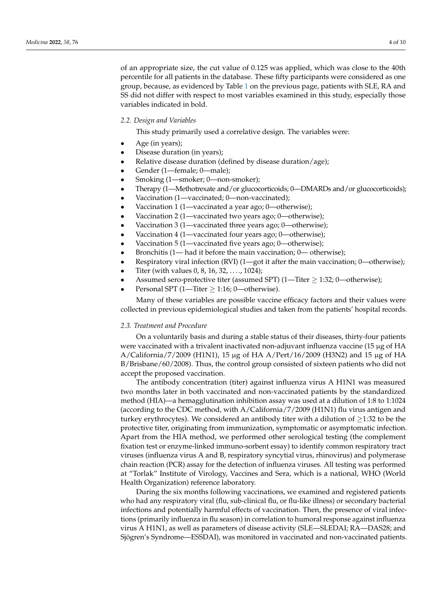of an appropriate size, the cut value of 0.125 was applied, which was close to the 40th percentile for all patients in the database. These fifty participants were considered as one group, because, as evidenced by Table [1](#page-2-0) on the previous page, patients with SLE, RA and SS did not differ with respect to most variables examined in this study, especially those variables indicated in bold.

#### *2.2. Design and Variables*

This study primarily used a correlative design. The variables were:

- Age (in years);
- Disease duration (in years);
- Relative disease duration (defined by disease duration/age);
- Gender (1—female; 0—male);
- Smoking (1—smoker; 0—non-smoker);
- Therapy (1—Methotrexate and/or glucocorticoids; 0—DMARDs and/or glucocorticoids);
- Vaccination (1—vaccinated; 0—non-vaccinated);
- Vaccination 1 (1—vaccinated a year ago; 0—otherwise);
- Vaccination 2 (1—vaccinated two years ago; 0—otherwise);
- Vaccination 3 (1—vaccinated three years ago; 0—otherwise);
- Vaccination 4 (1—vaccinated four years ago; 0—otherwise);
- Vaccination 5 (1—vaccinated five years ago; 0—otherwise);
- Bronchitis (1— had it before the main vaccination; 0— otherwise);
- Respiratory viral infection (RVI) (1—got it after the main vaccination; 0—otherwise);
- Titer (with values 0, 8, 16, 32, ..., 1024);
- Assumed sero-protective titer (assumed SPT) (1—Titer  $\geq$  1:32; 0—otherwise);
- Personal SPT (1—Titer  $\geq$  1:16; 0—otherwise).

Many of these variables are possible vaccine efficacy factors and their values were collected in previous epidemiological studies and taken from the patients' hospital records.

#### *2.3. Treatment and Procedure*

On a voluntarily basis and during a stable status of their diseases, thirty-four patients were vaccinated with a trivalent inactivated non-adjuvant influenza vaccine (15 µg of HA A/California/7/2009 (H1N1), 15 µg of HA A/Pert/16/2009 (H3N2) and 15 µg of HA B/Brisbane/60/2008). Thus, the control group consisted of sixteen patients who did not accept the proposed vaccination.

The antibody concentration (titer) against influenza virus A H1N1 was measured two months later in both vaccinated and non-vaccinated patients by the standardized method (HIA)—a hemagglutination inhibition assay was used at a dilution of 1:8 to 1:1024 (according to the CDC method, with A/California/7/2009 (H1N1) flu virus antigen and turkey erythrocytes). We considered an antibody titer with a dilution of  $\geq$ 1:32 to be the protective titer, originating from immunization, symptomatic or asymptomatic infection. Apart from the HIA method, we performed other serological testing (the complement fixation test or enzyme-linked immuno-sorbent essay) to identify common respiratory tract viruses (influenza virus A and B, respiratory syncytial virus, rhinovirus) and polymerase chain reaction (PCR) assay for the detection of influenza viruses. All testing was performed at "Torlak" Institute of Virology, Vaccines and Sera, which is a national, WHO (World Health Organization) reference laboratory.

During the six months following vaccinations, we examined and registered patients who had any respiratory viral (flu, sub-clinical flu, or flu-like illness) or secondary bacterial infections and potentially harmful effects of vaccination. Then, the presence of viral infections (primarily influenza in flu season) in correlation to humoral response against influenza virus A H1N1, as well as parameters of disease activity (SLE—SLEDAI; RA—DAS28; and Sjögren's Syndrome—ESSDAI), was monitored in vaccinated and non-vaccinated patients.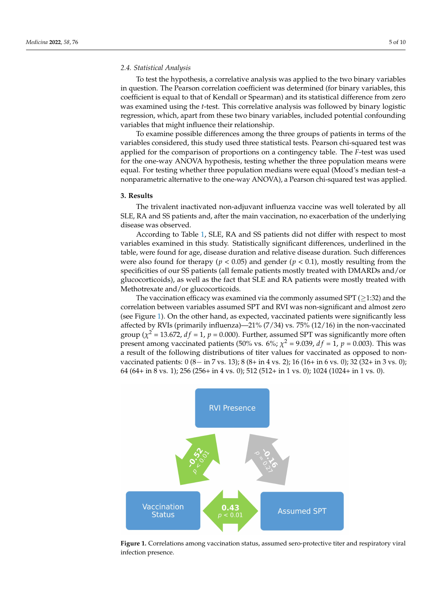#### *2.4. Statistical Analysis*

To test the hypothesis, a correlative analysis was applied to the two binary variables in question. The Pearson correlation coefficient was determined (for binary variables, this coefficient is equal to that of Kendall or Spearman) and its statistical difference from zero was examined using the *t*-test. This correlative analysis was followed by binary logistic regression, which, apart from these two binary variables, included potential confounding variables that might influence their relationship.

To examine possible differences among the three groups of patients in terms of the variables considered, this study used three statistical tests. Pearson chi-squared test was applied for the comparison of proportions on a contingency table. The *F*-test was used for the one-way ANOVA hypothesis, testing whether the three population means were equal. For testing whether three population medians were equal (Mood's median test–a nonparametric alternative to the one-way ANOVA), a Pearson chi-squared test was applied.

## **3. Results**

The trivalent inactivated non-adjuvant influenza vaccine was well tolerated by all SLE, RA and SS patients and, after the main vaccination, no exacerbation of the underlying disease was observed.

According to Table [1,](#page-2-0) SLE, RA and SS patients did not differ with respect to most variables examined in this study. Statistically significant differences, underlined in the table, were found for age, disease duration and relative disease duration. Such differences were also found for therapy ( $p < 0.05$ ) and gender ( $p < 0.1$ ), mostly resulting from the specificities of our SS patients (all female patients mostly treated with DMARDs and/or glucocorticoids), as well as the fact that SLE and RA patients were mostly treated with Methotrexate and/or glucocorticoids.

The vaccination efficacy was examined via the commonly assumed  $SPT$  ( $\geq$ 1:32) and the correlation between variables assumed SPT and RVI was non-significant and almost zero (see Figure [1\)](#page-4-0). On the other hand, as expected, vaccinated patients were significantly less affected by RVIs (primarily influenza)—21% (7/34) vs. 75% (12/16) in the non-vaccinated group ( $\chi^2$  = 13.672, *df* = 1, *p* = 0.000). Further, assumed SPT was significantly more often present among vaccinated patients (50% vs. 6%;  $\chi^2$  = 9.039,  $df$  = 1,  $p$  = 0.003). This was a result of the following distributions of titer values for vaccinated as opposed to nonvaccinated patients: 0 (8− in 7 vs. 13); 8 (8+ in 4 vs. 2); 16 (16+ in 6 vs. 0); 32 (32+ in 3 vs. 0); 64 (64+ in 8 vs. 1); 256 (256+ in 4 vs. 0); 512 (512+ in 1 vs. 0); 1024 (1024+ in 1 vs. 0).

<span id="page-4-0"></span>

**Figure 1.** Correlations among vaccination status, assumed sero-protective titer and respiratory viral infection presence.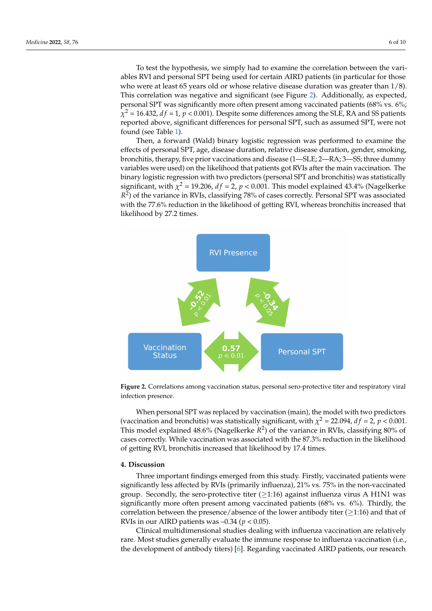To test the hypothesis, we simply had to examine the correlation between the variables RVI and personal SPT being used for certain AIRD patients (in particular for those who were at least 65 years old or whose relative disease duration was greater than 1/8). This correlation was negative and significant (see Figure [2\)](#page-5-0). Additionally, as expected, personal SPT was significantly more often present among vaccinated patients (68% vs. 6%;  $\chi^2$  = 16.432,  $df$  = 1,  $p$  < 0.001). Despite some differences among the SLE, RA and SS patients reported above, significant differences for personal SPT, such as assumed SPT, were not found (see Table [1\)](#page-2-0).

Then, a forward (Wald) binary logistic regression was performed to examine the effects of personal SPT, age, disease duration, relative disease duration, gender, smoking, bronchitis, therapy, five prior vaccinations and disease (1—SLE; 2—RA; 3—SS; three dummy variables were used) on the likelihood that patients got RVIs after the main vaccination. The binary logistic regression with two predictors (personal SPT and bronchitis) was statistically significant, with  $\chi^2$  = 19.206,  $df$  = 2,  $p$  < 0.001. This model explained 43.4% (Nagelkerke R<sup>2</sup>) of the variance in RVIs, classifying 78% of cases correctly. Personal SPT was associated with the 77.6% reduction in the likelihood of getting RVI, whereas bronchitis increased that likelihood by 27.2 times.

<span id="page-5-0"></span>

**Figure 2.** Correlations among vaccination status, personal sero-protective titer and respiratory viral infection presence.

When personal SPT was replaced by vaccination (main), the model with two predictors (vaccination and bronchitis) was statistically significant, with  $\chi^2$  = 22.094,  $df$  = 2,  $p$  < 0.001. This model explained 48.6% (Nagelkerke  $R^2$ ) of the variance in RVIs, classifying 80% of cases correctly. While vaccination was associated with the 87.3% reduction in the likelihood of getting RVI, bronchitis increased that likelihood by 17.4 times.

### **4. Discussion**

Three important findings emerged from this study. Firstly, vaccinated patients were significantly less affected by RVIs (primarily influenza), 21% vs. 75% in the non-vaccinated group. Secondly, the sero-protective titer ( $\geq$ 1:16) against influenza virus A H1N1 was significantly more often present among vaccinated patients (68% vs. 6%). Thirdly, the correlation between the presence/absence of the lower antibody titer ( $\geq$ 1:16) and that of RVIs in our AIRD patients was  $-0.34$  ( $p < 0.05$ ).

Clinical multidimensional studies dealing with influenza vaccination are relatively rare. Most studies generally evaluate the immune response to influenza vaccination (i.e., the development of antibody titers) [\[6\]](#page-7-3). Regarding vaccinated AIRD patients, our research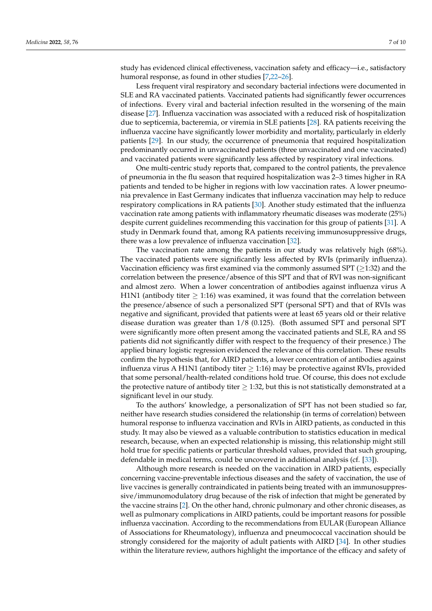study has evidenced clinical effectiveness, vaccination safety and efficacy—i.e., satisfactory humoral response, as found in other studies [\[7,](#page-7-4)[22](#page-8-8)[–26\]](#page-8-9).

Less frequent viral respiratory and secondary bacterial infections were documented in SLE and RA vaccinated patients. Vaccinated patients had significantly fewer occurrences of infections. Every viral and bacterial infection resulted in the worsening of the main disease [\[27\]](#page-8-10). Influenza vaccination was associated with a reduced risk of hospitalization due to septicemia, bacteremia, or viremia in SLE patients [\[28\]](#page-8-11). RA patients receiving the influenza vaccine have significantly lower morbidity and mortality, particularly in elderly patients [\[29\]](#page-8-12). In our study, the occurrence of pneumonia that required hospitalization predominantly occurred in unvaccinated patients (three unvaccinated and one vaccinated) and vaccinated patients were significantly less affected by respiratory viral infections.

One multi-centric study reports that, compared to the control patients, the prevalence of pneumonia in the flu season that required hospitalization was 2–3 times higher in RA patients and tended to be higher in regions with low vaccination rates. A lower pneumonia prevalence in East Germany indicates that influenza vaccination may help to reduce respiratory complications in RA patients [\[30\]](#page-8-13). Another study estimated that the influenza vaccination rate among patients with inflammatory rheumatic diseases was moderate (25%) despite current guidelines recommending this vaccination for this group of patients [\[31\]](#page-8-14). A study in Denmark found that, among RA patients receiving immunosuppressive drugs, there was a low prevalence of influenza vaccination [\[32\]](#page-8-15).

The vaccination rate among the patients in our study was relatively high (68%). The vaccinated patients were significantly less affected by RVIs (primarily influenza). Vaccination efficiency was first examined via the commonly assumed  $SPT$  ( $>1:32$ ) and the correlation between the presence/absence of this SPT and that of RVI was non-significant and almost zero. When a lower concentration of antibodies against influenza virus A H1N1 (antibody titer  $\geq$  1:16) was examined, it was found that the correlation between the presence/absence of such a personalized SPT (personal SPT) and that of RVIs was negative and significant, provided that patients were at least 65 years old or their relative disease duration was greater than 1/8 (0.125). (Both assumed SPT and personal SPT were significantly more often present among the vaccinated patients and SLE, RA and SS patients did not significantly differ with respect to the frequency of their presence.) The applied binary logistic regression evidenced the relevance of this correlation. These results confirm the hypothesis that, for AIRD patients, a lower concentration of antibodies against influenza virus A H1N1 (antibody titer  $\geq$  1:16) may be protective against RVIs, provided that some personal/health-related conditions hold true. Of course, this does not exclude the protective nature of antibody titer  $\geq 1:32$ , but this is not statistically demonstrated at a significant level in our study.

To the authors' knowledge, a personalization of SPT has not been studied so far, neither have research studies considered the relationship (in terms of correlation) between humoral response to influenza vaccination and RVIs in AIRD patients, as conducted in this study. It may also be viewed as a valuable contribution to statistics education in medical research, because, when an expected relationship is missing, this relationship might still hold true for specific patients or particular threshold values, provided that such grouping, defendable in medical terms, could be uncovered in additional analysis (cf. [\[33\]](#page-8-16)).

Although more research is needed on the vaccination in AIRD patients, especially concerning vaccine-preventable infectious diseases and the safety of vaccination, the use of live vaccines is generally contraindicated in patients being treated with an immunosuppressive/immunomodulatory drug because of the risk of infection that might be generated by the vaccine strains [\[2\]](#page-7-7). On the other hand, chronic pulmonary and other chronic diseases, as well as pulmonary complications in AIRD patients, could be important reasons for possible influenza vaccination. According to the recommendations from EULAR (European Alliance of Associations for Rheumatology), influenza and pneumococcal vaccination should be strongly considered for the majority of adult patients with AIRD [\[34\]](#page-9-0). In other studies within the literature review, authors highlight the importance of the efficacy and safety of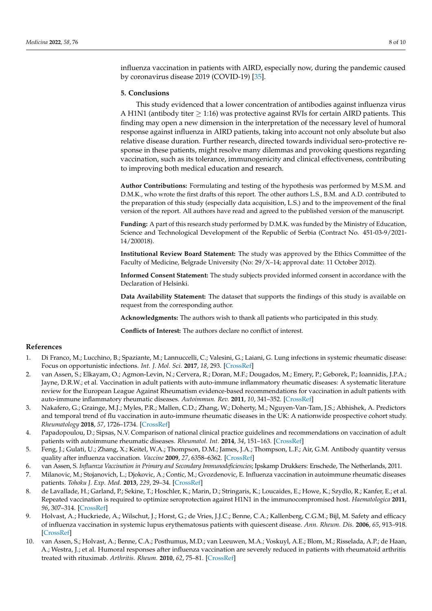influenza vaccination in patients with AIRD, especially now, during the pandemic caused by coronavirus disease 2019 (COVID-19) [\[35\]](#page-9-1).

## **5. Conclusions**

This study evidenced that a lower concentration of antibodies against influenza virus A H1N1 (antibody titer  $\geq$  1:16) was protective against RVIs for certain AIRD patients. This finding may open a new dimension in the interpretation of the necessary level of humoral response against influenza in AIRD patients, taking into account not only absolute but also relative disease duration. Further research, directed towards individual sero-protective response in these patients, might resolve many dilemmas and provoking questions regarding vaccination, such as its tolerance, immunogenicity and clinical effectiveness, contributing to improving both medical education and research.

**Author Contributions:** Formulating and testing of the hypothesis was performed by M.S.M. and D.M.K., who wrote the first drafts of this report. The other authors L.S., B.M. and A.D. contributed to the preparation of this study (especially data acquisition, L.S.) and to the improvement of the final version of the report. All authors have read and agreed to the published version of the manuscript.

**Funding:** A part of this research study performed by D.M.K. was funded by the Ministry of Education, Science and Technological Development of the Republic of Serbia (Contract No. 451-03-9/2021- 14/200018).

**Institutional Review Board Statement:** The study was approved by the Ethics Committee of the Faculty of Medicine, Belgrade University (No: 29/X–14; approval date: 11 October 2012).

**Informed Consent Statement:** The study subjects provided informed consent in accordance with the Declaration of Helsinki.

**Data Availability Statement:** The dataset that supports the findings of this study is available on request from the corresponding author.

**Acknowledgments:** The authors wish to thank all patients who participated in this study.

**Conflicts of Interest:** The authors declare no conflict of interest.

## **References**

- <span id="page-7-0"></span>1. Di Franco, M.; Lucchino, B.; Spaziante, M.; Lannuccelli, C.; Valesini, G.; Laiani, G. Lung infections in systemic rheumatic disease: Focus on opportunistic infections. *Int. J. Mol. Sci.* **2017**, *18*, 293. [\[CrossRef\]](http://doi.org/10.3390/ijms18020293)
- <span id="page-7-7"></span>2. van Assen, S.; Elkayam, O.; Agmon-Levin, N.; Cervera, R.; Doran, M.F.; Dougados, M.; Emery, P.; Geborek, P.; Ioannidis, J.P.A.; Jayne, D.R.W.; et al. Vaccination in adult patients with auto-immune inflammatory rheumatic diseases: A systematic literature review for the European League Against Rheumatism evidence-based recommendations for vaccination in adult patients with auto-immune inflammatory rheumatic diseases. *Autoimmun. Rev.* **2011**, *10*, 341–352. [\[CrossRef\]](http://dx.doi.org/10.1016/j.autrev.2010.12.003)
- 3. Nakafero, G.; Grainge, M.J.; Myles, P.R.; Mallen, C.D.; Zhang, W.; Doherty, M.; Nguyen-Van-Tam, J.S.; Abhishek, A. Predictors and temporal trend of flu vaccination in auto-immune rheumatic diseases in the UK: A nationwide prospective cohort study. *Rheumatology* **2018**, *57*, 1726–1734. [\[CrossRef\]](http://dx.doi.org/10.1093/rheumatology/key156)
- <span id="page-7-1"></span>4. Papadopoulou, D.; Sipsas, N.V. Comparison of national clinical practice guidelines and recommendations on vaccination of adult patients with autoimmune rheumatic diseases. *Rheumatol. Int.* **2014**, *34*, 151–163. [\[CrossRef\]](http://dx.doi.org/10.1007/s00296-013-2907-9)
- <span id="page-7-2"></span>5. Feng, J.; Gulati, U.; Zhang, X.; Keitel, W.A.; Thompson, D.M.; James, J.A.; Thompson, L.F.; Air, G.M. Antibody quantity versus quality after influenza vaccination. *Vaccine* **2009**, *27*, 6358–6362. [\[CrossRef\]](http://dx.doi.org/10.1016/j.vaccine.2009.06.090)
- <span id="page-7-3"></span>6. van Assen, S. *Influenza Vaccination in Primary and Secondary Immunodeficiencies*; Ipskamp Drukkers: Enschede, The Netherlands, 2011.
- <span id="page-7-4"></span>7. Milanovic, M.; Stojanovich, L.; Djokovic, A.; Contic, M.; Gvozdenovic, E. Influenza vaccination in autoimmune rheumatic diseases patients. *Tohoku J. Exp. Med.* **2013**, *229*, 29–34. [\[CrossRef\]](http://dx.doi.org/10.1620/tjem.229.29)
- <span id="page-7-5"></span>8. de Lavallade, H.; Garland, P.; Sekine, T.; Hoschler, K.; Marin, D.; Stringaris, K.; Loucaides, E.; Howe, K.; Szydlo, R.; Kanfer, E.; et al. Repeated vaccination is required to optimize seroprotection against H1N1 in the immunocompromised host. *Haematologica* **2011**, *96*, 307–314. [\[CrossRef\]](http://dx.doi.org/10.3324/haematol.2010.032664)
- <span id="page-7-6"></span>9. Holvast, A.; Huckriede, A.; Wilschut, J.; Horst, G.; de Vries, J.J.C.; Benne, C.A.; Kallenberg, C.G.M.; Bijl, M. Safety and efficacy of influenza vaccination in systemic lupus erythematosus patients with quiescent disease. *Ann. Rheum. Dis.* **2006**, *65*, 913–918. [\[CrossRef\]](http://dx.doi.org/10.1136/ard.2005.043943)
- 10. van Assen, S.; Holvast, A.; Benne, C.A.; Posthumus, M.D.; van Leeuwen, M.A.; Voskuyl, A.E.; Blom, M.; Risselada, A.P.; de Haan, A.; Westra, J.; et al. Humoral responses after influenza vaccination are severely reduced in patients with rheumatoid arthritis treated with rituximab. *Arthritis. Rheum.* **2010**, *62*, 75–81. [\[CrossRef\]](http://dx.doi.org/10.1002/art.25033)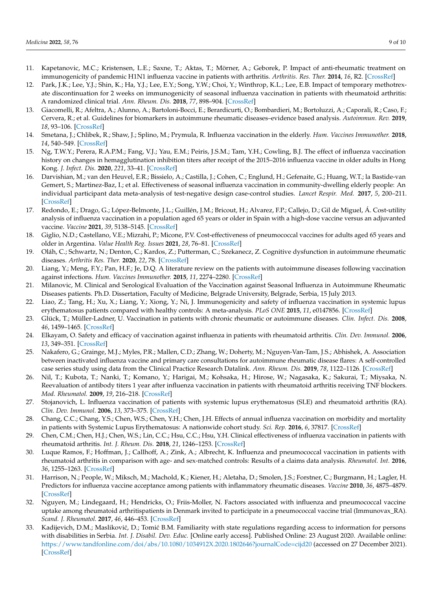- 11. Kapetanovic, M.C.; Kristensen, L.E.; Saxne, T.; Aktas, T.; Mörner, A.; Geborek, P. Impact of anti-rheumatic treatment on immunogenicity of pandemic H1N1 influenza vaccine in patients with arthritis. *Arthritis. Res. Ther.* **2014**, *16*, R2. [\[CrossRef\]](http://dx.doi.org/10.1186/ar4427)
- <span id="page-8-0"></span>12. Park, J.K.; Lee, Y.J.; Shin, K.; Ha, Y.J.; Lee, E.Y.; Song, Y.W.; Choi, Y.; Winthrop, K.L.; Lee, E.B. Impact of temporary methotrexate discontinuation for 2 weeks on immunogenicity of seasonal influenza vaccination in patients with rheumatoid arthritis: A randomized clinical trial. *Ann. Rheum. Dis.* **2018**, *77*, 898–904. [\[CrossRef\]](http://dx.doi.org/10.1136/annrheumdis-2018-213222)
- <span id="page-8-1"></span>13. Giacomelli, R.; Afeltra, A.; Alunno, A.; Bartoloni-Bocci, E.; Berardicurti, O.; Bombardieri, M.; Bortoluzzi, A.; Caporali, R.; Caso, F.; Cervera, R.; et al. Guidelines for biomarkers in autoimmune rheumatic diseases–evidence based analysis. *Autoimmun. Rev.* **2019**, *18*, 93–106. [\[CrossRef\]](http://dx.doi.org/10.1016/j.autrev.2018.08.003)
- 14. Smetana, J.; Chlibek, R.; Shaw, J.; Splino, M.; Prymula, R. Influenza vaccination in the elderly. *Hum. Vaccines Immunother.* **2018**, *14*, 540–549. [\[CrossRef\]](http://dx.doi.org/10.1080/21645515.2017.1343226)
- 15. Ng, T.W.Y.; Perera, R.A.P.M.; Fang, V.J.; Yau, E.M.; Peiris, J.S.M.; Tam, Y.H.; Cowling, B.J. The effect of influenza vaccination history on changes in hemagglutination inhibition titers after receipt of the 2015–2016 influenza vaccine in older adults in Hong Kong. *J. Infect. Dis.* **2020**, *221*, 33–41. [\[CrossRef\]](http://dx.doi.org/10.1093/infdis/jiz327)
- <span id="page-8-2"></span>16. Darvishian, M.; van den Heuvel, E.R.; Bissielo, A.; Castilla, J.; Cohen, C.; Englund, H.; Gefenaite, G.; Huang, W.T.; la Bastide-van Gemert, S.; Martinez-Baz, I.; et al. Effectiveness of seasonal influenza vaccination in community-dwelling elderly people: An individual participant data meta-analysis of test-negative design case-control studies. *Lancet Respir. Med.* **2017**, *5*, 200–211. [\[CrossRef\]](http://dx.doi.org/10.1016/S2213-2600(17)30043-7)
- <span id="page-8-3"></span>17. Redondo, E.; Drago, G.; López-Belmonte, J.L.; Guillén, J.M.; Bricout, H.; Alvarez, F.P.; Callejo, D.; Gil de Miguel, Á. Cost-utility analysis of influenza vaccination in a population aged 65 years or older in Spain with a high-dose vaccine versus an adjuvanted vaccine. *Vaccine* **2021**, *39*, 5138–5145. [\[CrossRef\]](http://dx.doi.org/10.1016/j.vaccine.2021.07.048)
- <span id="page-8-4"></span>18. Giglio, N.D.; Castellano, V.E.; Mizrahi, P.; Micone, P.V. Cost-effectiveness of pneumococcal vaccines for adults aged 65 years and older in Argentina. *Value Health Reg. Issues* **2021**, *28*, 76–81. [\[CrossRef\]](http://dx.doi.org/10.1016/j.vhri.2021.08.003)
- <span id="page-8-5"></span>19. Oláh, C.; Schwartz, N.; Denton, C.; Kardos, Z.; Putterman, C.; Szekanecz, Z. Cognitive dysfunction in autoimmune rheumatic diseases. *Arthritis Res. Ther.* **2020**, *22*, 78. [\[CrossRef\]](http://dx.doi.org/10.1186/s13075-020-02180-5)
- <span id="page-8-6"></span>20. Liang, Y.; Meng, F.Y.; Pan, H.F.; Je, D.Q. A literature review on the patients with autoimmune diseases following vaccination against infections. *Hum. Vaccines Immunother.* **2015**, *11*, 2274–2280. [\[CrossRef\]](http://dx.doi.org/10.1080/21645515.2015.1009337)
- <span id="page-8-7"></span>21. Milanovic, M. Clinical and Serological Evaluation of the Vaccination against Seasonal Influenza in Autoimmune Rheumatic Diseases patients. Ph.D. Dissertation, Faculty of Medicine, Belgrade University, Belgrade, Serbia, 15 July 2013.
- <span id="page-8-8"></span>22. Liao, Z.; Tang, H.; Xu, X.; Liang, Y.; Xiong, Y.; Ni, J. Immunogenicity and safety of influenza vaccination in systemic lupus erythematosus patients compared with healthy controls: A meta-analysis. *PLoS ONE* **2015**, *11*, e0147856. [\[CrossRef\]](http://dx.doi.org/10.1371/journal.pone.0147856)
- 23. Glück, T.; Müller-Ladner, U. Vaccination in patients with chronic rheumatic or autoimmune diseases. *Clin. Infect. Dis.* **2008**, *46*, 1459–1465. [\[CrossRef\]](http://dx.doi.org/10.1086/587063)
- 24. Elkayam, O. Safety and efficacy of vaccination against influenza in patients with rheumatoid arthritis. *Clin. Dev. Immunol.* **2006**, *13*, 349–351. [\[CrossRef\]](http://dx.doi.org/10.1080/17402520600589613)
- 25. Nakafero, G.; Grainge, M.J.; Myles, P.R.; Mallen, C.D.; Zhang, W.; Doherty, M.; Nguyen-Van-Tam, J.S.; Abhishek, A. Association between inactivated influenza vaccine and primary care consultations for autoimmune rheumatic disease flares: A self-controlled case series study using data from the Clinical Practice Research Datalink. *Ann. Rheum. Dis.* **2019**, *78*, 1122–1126. [\[CrossRef\]](http://dx.doi.org/10.1136/annrheumdis-2019-215086)
- <span id="page-8-9"></span>26. Nil, T.; Kubota, T.; Nanki, T.; Komano, Y.; Harigai, M.; Kohsaka, H.; Hirose, W.; Nagasaka, K.; Sakurai, T.; Miysaka, N. Reevaluation of antibody titers 1 year after influenza vaccination in patients with rheumatoid arthritis receiving TNF blockers. *Mod. Rheumatol.* **2009**, *19*, 216–218. [\[CrossRef\]](http://dx.doi.org/10.1007/s10165-008-0135-z)
- <span id="page-8-10"></span>27. Stojanovich, L. Influenza vaccination of patients with systemic lupus erythematosus (SLE) and rheumatoid arthritis (RA). *Clin. Dev. Immunol.* **2006**, *13*, 373–375. [\[CrossRef\]](http://dx.doi.org/10.1080/17402520600800820)
- <span id="page-8-11"></span>28. Chang, C.C.; Chang, Y.S.; Chen, W.S.; Chen, Y.H.; Chen, J.H. Effects of annual influenza vaccination on morbidity and mortality in patients with Systemic Lupus Erythematosus: A nationwide cohort study. *Sci. Rep.* **2016**, *6*, 37817. [\[CrossRef\]](http://dx.doi.org/10.1038/srep37817)
- <span id="page-8-12"></span>29. Chen, C.M.; Chen, H.J.; Chen, W.S.; Lin, C.C.; Hsu, C.C.; Hsu, Y.H. Clinical effectiveness of influenza vaccination in patients with rheumatoid arthritis. *Int. J. Rheum. Dis.* **2018**, *21*, 1246–1253. [\[CrossRef\]](http://dx.doi.org/10.1111/1756-185X.13322)
- <span id="page-8-13"></span>30. Luque Ramos, F.; Hoffman, J.; Callhoff, A.; Zink, A.; Albrecht, K. Influenza and pneumococcal vaccination in patients with rheumatoid arthritis in comparison with age- and sex-matched controls: Results of a claims data analysis. *Rheumatol. Int.* **2016**, *36*, 1255–1263. [\[CrossRef\]](http://dx.doi.org/10.1007/s00296-016-3516-1)
- <span id="page-8-14"></span>31. Harrison, N.; People, W.; Miksch, M.; Machold, K.; Kiener, H.; Aletaha, D.; Smolen, J.S.; Forstner, C.; Burgmann, H.; Lagler, H. Predictors for influenza vaccine acceptance among patients with inflammatory rheumatic diseases. *Vaccine* **2010**, *36*, 4875–4879. [\[CrossRef\]](http://dx.doi.org/10.1016/j.vaccine.2018.06.065)
- <span id="page-8-15"></span>32. Nguyen, M.; Lindegaard, H.; Hendricks, O.; Friis-Moller, N. Factors associated with influenza and pneumococcal vaccine uptake among rheumatoid arthritispatients in Denmark invited to participate in a pneumococcal vaccine trial (Immunovax\_RA). *Scand. J. Rheumatol.* **2017**, *46*, 446–453. [\[CrossRef\]](http://dx.doi.org/10.1080/03009742.2016.1242774)
- <span id="page-8-16"></span>33. Kadijevich, D.M.; Masliković, D.; Tomić B.M. Familiarity with state regulations regarding access to information for persons with disabilities in Serbia. *Int. J. Disabil. Dev. Educ.* [Online early access]. Published Online: 23 August 2020. Available online: <https://www.tandfonline.com/doi/abs/10.1080/1034912X.2020.1802646?journalCode=cijd20> (accessed on 27 December 2021). **[\[CrossRef\]](http://dx.doi.org/10.1080/1034912X.2020.1802646.)**